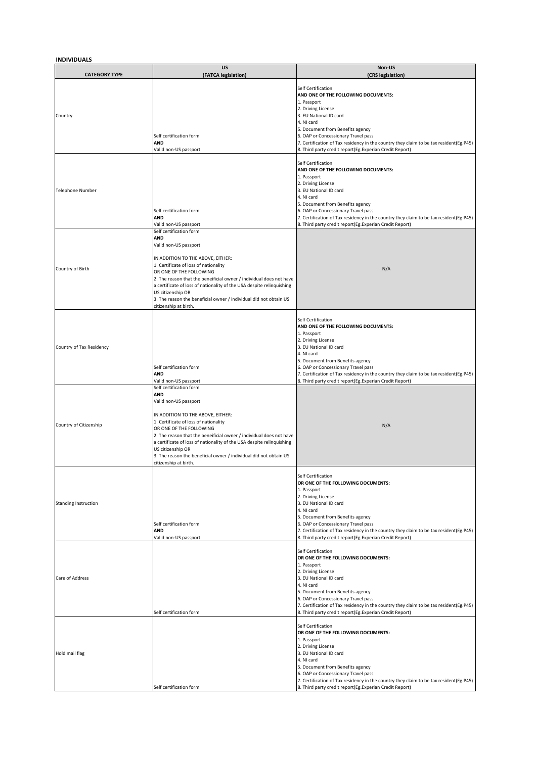## **INDIVIDUALS**

| <b>CATEGORY TYPE</b>     | US<br>(FATCA legislation)                                                                                                                                                                                                                                                                                                                                                                                                                  | Non-US<br>(CRS legislation)                                                                                                                                                                                                                                                                                                                                            |
|--------------------------|--------------------------------------------------------------------------------------------------------------------------------------------------------------------------------------------------------------------------------------------------------------------------------------------------------------------------------------------------------------------------------------------------------------------------------------------|------------------------------------------------------------------------------------------------------------------------------------------------------------------------------------------------------------------------------------------------------------------------------------------------------------------------------------------------------------------------|
| Country                  | Self certification form<br><b>AND</b><br>Valid non-US passport                                                                                                                                                                                                                                                                                                                                                                             | Self Certification<br>AND ONE OF THE FOLLOWING DOCUMENTS:<br>1. Passport<br>2. Driving License<br>3. EU National ID card<br>4. NI card<br>5. Document from Benefits agency<br>6. OAP or Concessionary Travel pass<br>7. Certification of Tax residency in the country they claim to be tax resident(Eg.P45)<br>8. Third party credit report(Eg.Experian Credit Report) |
| <b>Telephone Number</b>  | Self certification form<br><b>AND</b><br>Valid non-US passport                                                                                                                                                                                                                                                                                                                                                                             | Self Certification<br>AND ONE OF THE FOLLOWING DOCUMENTS:<br>1. Passport<br>2. Driving License<br>3. EU National ID card<br>4. NI card<br>5. Document from Benefits agency<br>6. OAP or Concessionary Travel pass<br>7. Certification of Tax residency in the country they claim to be tax resident(Eg.P45)<br>8. Third party credit report(Eg.Experian Credit Report) |
| Country of Birth         | Self certification form<br><b>AND</b><br>Valid non-US passport<br>IN ADDITION TO THE ABOVE, EITHER:<br>1. Certificate of loss of nationality<br>OR ONE OF THE FOLLOWING<br>2. The reason that the beneificial owner / individual does not have<br>a certificate of loss of nationality of the USA despite relinquishing<br>US citizenship OR<br>3. The reason the beneficial owner / individual did not obtain US<br>citizenship at birth. | N/A                                                                                                                                                                                                                                                                                                                                                                    |
| Country of Tax Residency | Self certification form<br>AND<br>Valid non-US passport                                                                                                                                                                                                                                                                                                                                                                                    | Self Certification<br>AND ONE OF THE FOLLOWING DOCUMENTS:<br>1. Passport<br>2. Driving License<br>3. EU National ID card<br>4. NI card<br>5. Document from Benefits agency<br>6. OAP or Concessionary Travel pass<br>7. Certification of Tax residency in the country they claim to be tax resident(Eg.P45)<br>8. Third party credit report(Eg.Experian Credit Report) |
| Country of Citizenship   | Self certification form<br><b>AND</b><br>Valid non-US passport<br>IN ADDITION TO THE ABOVE, EITHER:<br>1. Certificate of loss of nationality<br>OR ONE OF THE FOLLOWING<br>2. The reason that the beneificial owner / individual does not have<br>a certificate of loss of nationality of the USA despite relinquishing<br>US citizenship OR<br>3. The reason the beneficial owner / individual did not obtain US<br>citizenship at birth. | N/A                                                                                                                                                                                                                                                                                                                                                                    |
| Standing Instruction     | Self certification form<br>AND<br>Valid non-US passport                                                                                                                                                                                                                                                                                                                                                                                    | Self Certification<br>OR ONE OF THE FOLLOWING DOCUMENTS:<br>1. Passport<br>2. Driving License<br>3. EU National ID card<br>4. NI card<br>5. Document from Benefits agency<br>6. OAP or Concessionary Travel pass<br>7. Certification of Tax residency in the country they claim to be tax resident(Eg.P45)<br>8. Third party credit report(Eg.Experian Credit Report)  |
| Care of Address          | Self certification form                                                                                                                                                                                                                                                                                                                                                                                                                    | Self Certification<br>OR ONE OF THE FOLLOWING DOCUMENTS:<br>1. Passport<br>2. Driving License<br>3. EU National ID card<br>4. NI card<br>5. Document from Benefits agency<br>6. OAP or Concessionary Travel pass<br>7. Certification of Tax residency in the country they claim to be tax resident(Eg.P45)<br>8. Third party credit report(Eg.Experian Credit Report)  |
| Hold mail flag           | Self certification form                                                                                                                                                                                                                                                                                                                                                                                                                    | Self Certification<br>OR ONE OF THE FOLLOWING DOCUMENTS:<br>1. Passport<br>2. Driving License<br>3. EU National ID card<br>4. NI card<br>5. Document from Benefits agency<br>6. OAP or Concessionary Travel pass<br>7. Certification of Tax residency in the country they claim to be tax resident(Eg.P45)<br>8. Third party credit report(Eg.Experian Credit Report)  |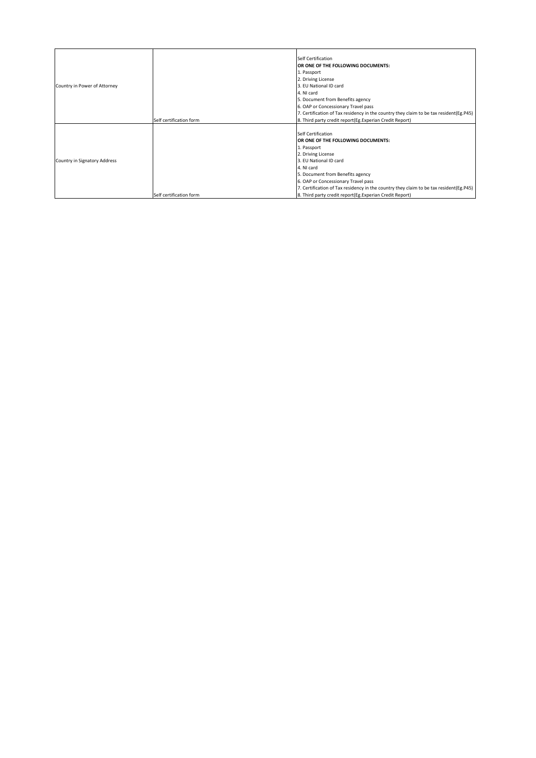| Country in Power of Attorney | Self certification form | Self Certification<br>OR ONE OF THE FOLLOWING DOCUMENTS:<br>1. Passport<br>2. Driving License<br>3. EU National ID card<br>4. NI card<br>5. Document from Benefits agency<br>6. OAP or Concessionary Travel pass<br>7. Certification of Tax residency in the country they claim to be tax resident(Eg.P45)<br>8. Third party credit report(Eg.Experian Credit Report) |
|------------------------------|-------------------------|-----------------------------------------------------------------------------------------------------------------------------------------------------------------------------------------------------------------------------------------------------------------------------------------------------------------------------------------------------------------------|
| Country in Signatory Address | Self certification form | Self Certification<br>OR ONE OF THE FOLLOWING DOCUMENTS:<br>1. Passport<br>2. Driving License<br>3. EU National ID card<br>4. NI card<br>5. Document from Benefits agency<br>6. OAP or Concessionary Travel pass<br>7. Certification of Tax residency in the country they claim to be tax resident(Eg.P45)<br>8. Third party credit report(Eg.Experian Credit Report) |